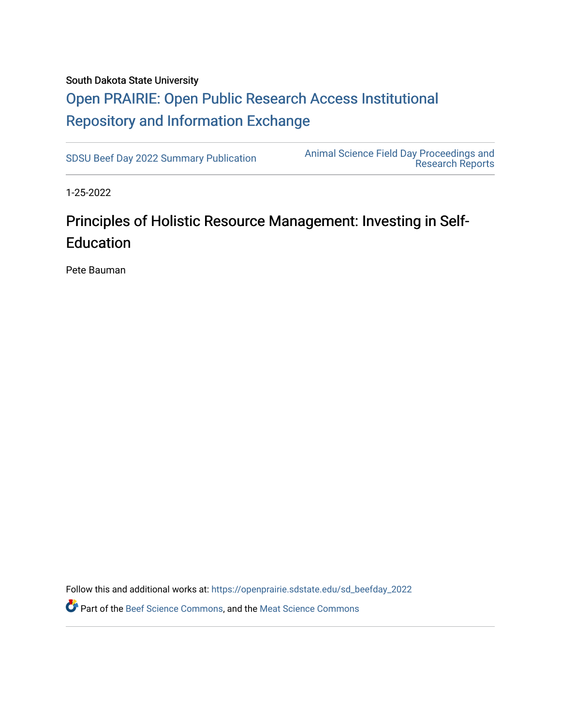#### South Dakota State University

## [Open PRAIRIE: Open Public Research Access Institutional](https://openprairie.sdstate.edu/)  [Repository and Information Exchange](https://openprairie.sdstate.edu/)

[SDSU Beef Day 2022 Summary Publication](https://openprairie.sdstate.edu/sd_beefday_2022) [Animal Science Field Day Proceedings and](https://openprairie.sdstate.edu/ans_reports)  [Research Reports](https://openprairie.sdstate.edu/ans_reports) 

1-25-2022

## Principles of Holistic Resource Management: Investing in Self-Education

Pete Bauman

Follow this and additional works at: [https://openprairie.sdstate.edu/sd\\_beefday\\_2022](https://openprairie.sdstate.edu/sd_beefday_2022?utm_source=openprairie.sdstate.edu%2Fsd_beefday_2022%2F14&utm_medium=PDF&utm_campaign=PDFCoverPages)  Part of the [Beef Science Commons,](http://network.bepress.com/hgg/discipline/1404?utm_source=openprairie.sdstate.edu%2Fsd_beefday_2022%2F14&utm_medium=PDF&utm_campaign=PDFCoverPages) and the [Meat Science Commons](http://network.bepress.com/hgg/discipline/1301?utm_source=openprairie.sdstate.edu%2Fsd_beefday_2022%2F14&utm_medium=PDF&utm_campaign=PDFCoverPages)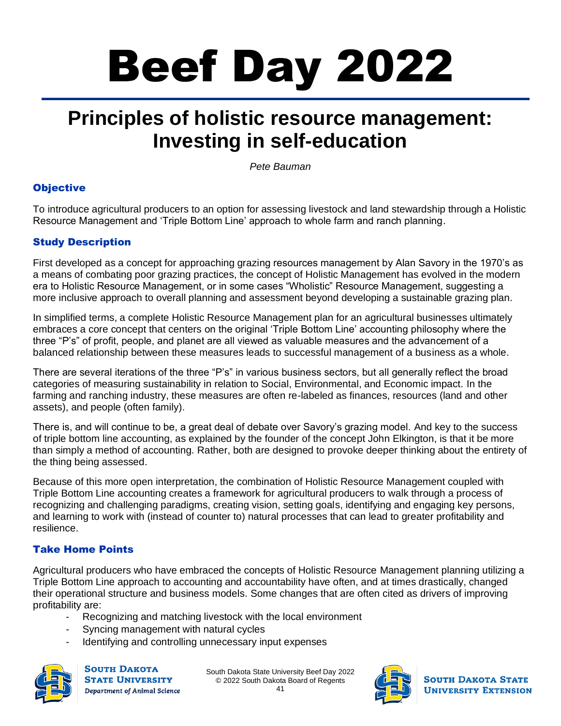# Beef Day 2022

# **Principles of holistic resource management: Investing in self-education**

*Pete Bauman*

## **Objective**

To introduce agricultural producers to an option for assessing livestock and land stewardship through a Holistic Resource Management and 'Triple Bottom Line' approach to whole farm and ranch planning.

## Study Description

First developed as a concept for approaching grazing resources management by Alan Savory in the 1970's as a means of combating poor grazing practices, the concept of Holistic Management has evolved in the modern era to Holistic Resource Management, or in some cases "Wholistic" Resource Management, suggesting a more inclusive approach to overall planning and assessment beyond developing a sustainable grazing plan.

In simplified terms, a complete Holistic Resource Management plan for an agricultural businesses ultimately embraces a core concept that centers on the original 'Triple Bottom Line' accounting philosophy where the three "P's" of profit, people, and planet are all viewed as valuable measures and the advancement of a balanced relationship between these measures leads to successful management of a business as a whole.

There are several iterations of the three "P's" in various business sectors, but all generally reflect the broad categories of measuring sustainability in relation to Social, Environmental, and Economic impact. In the farming and ranching industry, these measures are often re-labeled as finances, resources (land and other assets), and people (often family).

There is, and will continue to be, a great deal of debate over Savory's grazing model. And key to the success of triple bottom line accounting, as explained by the founder of the concept John Elkington, is that it be more than simply a method of accounting. Rather, both are designed to provoke deeper thinking about the entirety of the thing being assessed.

Because of this more open interpretation, the combination of Holistic Resource Management coupled with Triple Bottom Line accounting creates a framework for agricultural producers to walk through a process of recognizing and challenging paradigms, creating vision, setting goals, identifying and engaging key persons, and learning to work with (instead of counter to) natural processes that can lead to greater profitability and resilience.

## Take Home Points

Agricultural producers who have embraced the concepts of Holistic Resource Management planning utilizing a Triple Bottom Line approach to accounting and accountability have often, and at times drastically, changed their operational structure and business models. Some changes that are often cited as drivers of improving profitability are:

- Recognizing and matching livestock with the local environment
- Syncing management with natural cycles
- Identifying and controlling unnecessary input expenses



**SOUTH DAKOTA STATE UNIVERSITY** Department of Animal Science

South Dakota State University Beef Day 2022 © 2022 South Dakota Board of Regents



**SOUTH DAKOTA STATE UNIVERSITY EXTENSION**